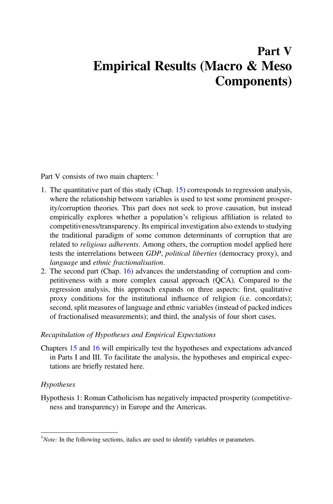# Part V Empirical Results (Macro & Meso Components)

Part V consists of two main chapters:  $\frac{1}{1}$ 

- 1. The quantitative part of this study (Chap. [15\)](https://doi.org/10.1007/978-3-030-78498-0_15) corresponds to regression analysis, where the relationship between variables is used to test some prominent prosperity/corruption theories. This part does not seek to prove causation, but instead empirically explores whether a population's religious affiliation is related to competitiveness/transparency. Its empirical investigation also extends to studying the traditional paradigm of some common determinants of corruption that are related to religious adherents. Among others, the corruption model applied here tests the interrelations between GDP, political liberties (democracy proxy), and language and ethnic fractionalisation.
- 2. The second part (Chap. [16\)](https://doi.org/10.1007/978-3-030-78498-0_16) advances the understanding of corruption and competitiveness with a more complex causal approach (QCA). Compared to the regression analysis, this approach expands on three aspects: first, qualitative proxy conditions for the institutional influence of religion (i.e. concordats); second, split measures of language and ethnic variables (instead of packed indices of fractionalised measurements); and third, the analysis of four short cases.

## Recapitulation of Hypotheses and Empirical Expectations

Chapters [15](https://doi.org/10.1007/978-3-030-78498-0_15) and [16](https://doi.org/10.1007/978-3-030-78498-0_16) will empirically test the hypotheses and expectations advanced in Parts I and III. To facilitate the analysis, the hypotheses and empirical expectations are briefly restated here.

#### Hypotheses

Hypothesis 1: Roman Catholicism has negatively impacted prosperity (competitiveness and transparency) in Europe and the Americas.

 $1$ Note: In the following sections, italics are used to identify variables or parameters.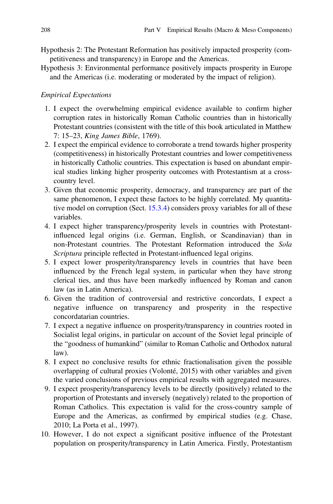- Hypothesis 2: The Protestant Reformation has positively impacted prosperity (competitiveness and transparency) in Europe and the Americas.
- Hypothesis 3: Environmental performance positively impacts prosperity in Europe and the Americas (i.e. moderating or moderated by the impact of religion).

### Empirical Expectations

- 1. I expect the overwhelming empirical evidence available to confirm higher corruption rates in historically Roman Catholic countries than in historically Protestant countries (consistent with the title of this book articulated in Matthew 7: 15–23, King James Bible, 1769).
- 2. I expect the empirical evidence to corroborate a trend towards higher prosperity (competitiveness) in historically Protestant countries and lower competitiveness in historically Catholic countries. This expectation is based on abundant empirical studies linking higher prosperity outcomes with Protestantism at a crosscountry level.
- 3. Given that economic prosperity, democracy, and transparency are part of the same phenomenon, I expect these factors to be highly correlated. My quantitative model on corruption (Sect. [15.3.4\)](https://doi.org/10.1007/978-3-030-78498-0_15#Sec24) considers proxy variables for all of these variables.
- 4. I expect higher transparency/prosperity levels in countries with Protestantinfluenced legal origins (i.e. German, English, or Scandinavian) than in non-Protestant countries. The Protestant Reformation introduced the Sola Scriptura principle reflected in Protestant-influenced legal origins.
- 5. I expect lower prosperity/transparency levels in countries that have been influenced by the French legal system, in particular when they have strong clerical ties, and thus have been markedly influenced by Roman and canon law (as in Latin America).
- 6. Given the tradition of controversial and restrictive concordats, I expect a negative influence on transparency and prosperity in the respective concordatarian countries.
- 7. I expect a negative influence on prosperity/transparency in countries rooted in Socialist legal origins, in particular on account of the Soviet legal principle of the "goodness of humankind" (similar to Roman Catholic and Orthodox natural law).
- 8. I expect no conclusive results for ethnic fractionalisation given the possible overlapping of cultural proxies (Volonté, 2015) with other variables and given the varied conclusions of previous empirical results with aggregated measures.
- 9. I expect prosperity/transparency levels to be directly (positively) related to the proportion of Protestants and inversely (negatively) related to the proportion of Roman Catholics. This expectation is valid for the cross-country sample of Europe and the Americas, as confirmed by empirical studies (e.g. Chase, 2010; La Porta et al., 1997).
- 10. However, I do not expect a significant positive influence of the Protestant population on prosperity/transparency in Latin America. Firstly, Protestantism